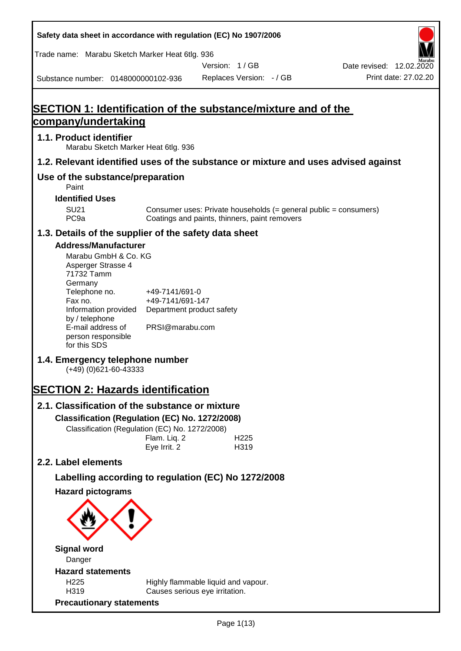**Safety data sheet in accordance with regulation (EC) No 1907/2006** Substance number: 0148000000102-936 Version: 1 / GB Replaces Version: - / GB Print date: 27.02.20 Date revised: 12.02.2020 Trade name: Marabu Sketch Marker Heat 6tlg. 936 **SECTION 1: Identification of the substance/mixture and of the company/undertaking 1.1. Product identifier** Marabu Sketch Marker Heat 6tlg. 936 **1.2. Relevant identified uses of the substance or mixture and uses advised against Use of the substance/preparation** Paint **Identified Uses** SU21 Consumer uses: Private households (= general public = consumers)<br>PC9a Coatings and paints, thinners, paint removers Coatings and paints, thinners, paint removers **1.3. Details of the supplier of the safety data sheet Address/Manufacturer** Marabu GmbH & Co. KG Asperger Strasse 4 71732 Tamm **Germany** Telephone no. +49-7141/691-0 Fax no.  $+49-7141/691-147$ Information provided Department product safety by / telephone E-mail address of person responsible for this SDS PRSI@marabu.com **1.4. Emergency telephone number** (+49) (0)621-60-43333 **SECTION 2: Hazards identification 2.1. Classification of the substance or mixture Classification (Regulation (EC) No. 1272/2008)** Classification (Regulation (EC) No. 1272/2008) Flam. Liq. 2 H225 Eye Irrit. 2 H319 **2.2. Label elements Labelling according to regulation (EC) No 1272/2008 Hazard pictograms Signal word** Danger **Hazard statements** H225 Highly flammable liquid and vapour. H319 Causes serious eye irritation. **Precautionary statements**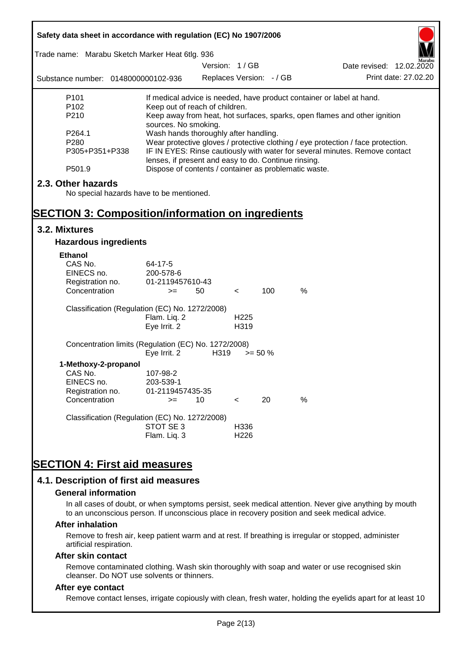| Safety data sheet in accordance with regulation (EC) No 1907/2006 |                                                                                                               |                                                                                                                                                                 |                  |            |   |                                                                           |  |
|-------------------------------------------------------------------|---------------------------------------------------------------------------------------------------------------|-----------------------------------------------------------------------------------------------------------------------------------------------------------------|------------------|------------|---|---------------------------------------------------------------------------|--|
| Trade name: Marabu Sketch Marker Heat 6tlg. 936                   |                                                                                                               |                                                                                                                                                                 |                  |            |   |                                                                           |  |
|                                                                   |                                                                                                               | Version: 1/GB                                                                                                                                                   |                  |            |   | Date revised: 12.02.2020                                                  |  |
| Substance number: 0148000000102-936                               |                                                                                                               | Replaces Version: - / GB                                                                                                                                        |                  |            |   | Print date: 27.02.20                                                      |  |
| P <sub>101</sub>                                                  |                                                                                                               |                                                                                                                                                                 |                  |            |   | If medical advice is needed, have product container or label at hand.     |  |
| P <sub>102</sub>                                                  | Keep out of reach of children.                                                                                |                                                                                                                                                                 |                  |            |   |                                                                           |  |
| P210                                                              |                                                                                                               |                                                                                                                                                                 |                  |            |   | Keep away from heat, hot surfaces, sparks, open flames and other ignition |  |
| P264.1                                                            | sources. No smoking.                                                                                          |                                                                                                                                                                 |                  |            |   |                                                                           |  |
| P280                                                              |                                                                                                               | Wash hands thoroughly after handling.                                                                                                                           |                  |            |   |                                                                           |  |
| P305+P351+P338                                                    |                                                                                                               | Wear protective gloves / protective clothing / eye protection / face protection.<br>IF IN EYES: Rinse cautiously with water for several minutes. Remove contact |                  |            |   |                                                                           |  |
| P501.9                                                            | lenses, if present and easy to do. Continue rinsing.<br>Dispose of contents / container as problematic waste. |                                                                                                                                                                 |                  |            |   |                                                                           |  |
|                                                                   |                                                                                                               |                                                                                                                                                                 |                  |            |   |                                                                           |  |
| 2.3. Other hazards                                                |                                                                                                               |                                                                                                                                                                 |                  |            |   |                                                                           |  |
| No special hazards have to be mentioned.                          |                                                                                                               |                                                                                                                                                                 |                  |            |   |                                                                           |  |
|                                                                   |                                                                                                               |                                                                                                                                                                 |                  |            |   |                                                                           |  |
| <b>SECTION 3: Composition/information on ingredients</b>          |                                                                                                               |                                                                                                                                                                 |                  |            |   |                                                                           |  |
| 3.2. Mixtures                                                     |                                                                                                               |                                                                                                                                                                 |                  |            |   |                                                                           |  |
| <b>Hazardous ingredients</b>                                      |                                                                                                               |                                                                                                                                                                 |                  |            |   |                                                                           |  |
| <b>Ethanol</b>                                                    |                                                                                                               |                                                                                                                                                                 |                  |            |   |                                                                           |  |
| CAS No.                                                           | 64-17-5                                                                                                       |                                                                                                                                                                 |                  |            |   |                                                                           |  |
| EINECS no.                                                        | 200-578-6                                                                                                     |                                                                                                                                                                 |                  |            |   |                                                                           |  |
| Registration no.                                                  | 01-2119457610-43                                                                                              |                                                                                                                                                                 |                  |            |   |                                                                           |  |
| Concentration                                                     | $>=$                                                                                                          | 50                                                                                                                                                              | $\lt$            | 100        | % |                                                                           |  |
| Classification (Regulation (EC) No. 1272/2008)                    |                                                                                                               |                                                                                                                                                                 |                  |            |   |                                                                           |  |
|                                                                   | Flam. Liq. 2                                                                                                  |                                                                                                                                                                 | H <sub>225</sub> |            |   |                                                                           |  |
|                                                                   | Eye Irrit. 2                                                                                                  |                                                                                                                                                                 | H319             |            |   |                                                                           |  |
| Concentration limits (Regulation (EC) No. 1272/2008)              |                                                                                                               |                                                                                                                                                                 |                  |            |   |                                                                           |  |
|                                                                   | Eye Irrit. 2                                                                                                  | H319                                                                                                                                                            |                  | $>= 50 \%$ |   |                                                                           |  |
| 1-Methoxy-2-propanol                                              |                                                                                                               |                                                                                                                                                                 |                  |            |   |                                                                           |  |
| CAS No.                                                           | 107-98-2                                                                                                      |                                                                                                                                                                 |                  |            |   |                                                                           |  |
| EINECS no.                                                        | 203-539-1                                                                                                     |                                                                                                                                                                 |                  |            |   |                                                                           |  |
| Registration no.                                                  | 01-2119457435-35                                                                                              |                                                                                                                                                                 |                  |            |   |                                                                           |  |
| Concentration                                                     | $>=$                                                                                                          | 10                                                                                                                                                              | $\,<\,$          | 20         | % |                                                                           |  |
| Classification (Regulation (EC) No. 1272/2008)                    |                                                                                                               |                                                                                                                                                                 |                  |            |   |                                                                           |  |
|                                                                   | STOT SE 3                                                                                                     |                                                                                                                                                                 | H336             |            |   |                                                                           |  |
|                                                                   | Flam. Liq. 3                                                                                                  |                                                                                                                                                                 | H <sub>226</sub> |            |   |                                                                           |  |
|                                                                   |                                                                                                               |                                                                                                                                                                 |                  |            |   |                                                                           |  |
|                                                                   |                                                                                                               |                                                                                                                                                                 |                  |            |   |                                                                           |  |
| <b>SECTION 4: First aid measures</b>                              |                                                                                                               |                                                                                                                                                                 |                  |            |   |                                                                           |  |
| 4.1. Description of first aid measures                            |                                                                                                               |                                                                                                                                                                 |                  |            |   |                                                                           |  |

#### **General information**

In all cases of doubt, or when symptoms persist, seek medical attention. Never give anything by mouth to an unconscious person. If unconscious place in recovery position and seek medical advice.

#### **After inhalation**

Remove to fresh air, keep patient warm and at rest. If breathing is irregular or stopped, administer artificial respiration.

#### **After skin contact**

Remove contaminated clothing. Wash skin thoroughly with soap and water or use recognised skin cleanser. Do NOT use solvents or thinners.

#### **After eye contact**

Remove contact lenses, irrigate copiously with clean, fresh water, holding the eyelids apart for at least 10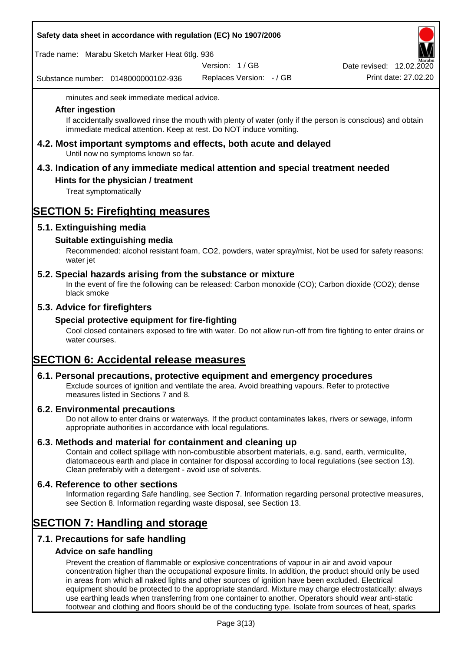| Safety data sheet in accordance with regulation (EC) No 1907/2006 |  |
|-------------------------------------------------------------------|--|
|-------------------------------------------------------------------|--|

Trade name: Marabu Sketch Marker Heat 6tlg. 936

Version: 1 / GB

Substance number: 0148000000102-936

Replaces Version: - / GB Print date: 27.02.20 Date revised: 12.02.2020

minutes and seek immediate medical advice.

#### **After ingestion**

If accidentally swallowed rinse the mouth with plenty of water (only if the person is conscious) and obtain immediate medical attention. Keep at rest. Do NOT induce vomiting.

**4.2. Most important symptoms and effects, both acute and delayed** Until now no symptoms known so far.

# **4.3. Indication of any immediate medical attention and special treatment needed**

### **Hints for the physician / treatment**

Treat symptomatically

# **SECTION 5: Firefighting measures**

### **5.1. Extinguishing media**

### **Suitable extinguishing media**

Recommended: alcohol resistant foam, CO2, powders, water spray/mist, Not be used for safety reasons: water jet

#### **5.2. Special hazards arising from the substance or mixture**

In the event of fire the following can be released: Carbon monoxide (CO); Carbon dioxide (CO2); dense black smoke

### **5.3. Advice for firefighters**

#### **Special protective equipment for fire-fighting**

Cool closed containers exposed to fire with water. Do not allow run-off from fire fighting to enter drains or water courses.

# **SECTION 6: Accidental release measures**

#### **6.1. Personal precautions, protective equipment and emergency procedures**

Exclude sources of ignition and ventilate the area. Avoid breathing vapours. Refer to protective measures listed in Sections 7 and 8.

#### **6.2. Environmental precautions**

Do not allow to enter drains or waterways. If the product contaminates lakes, rivers or sewage, inform appropriate authorities in accordance with local regulations.

#### **6.3. Methods and material for containment and cleaning up**

Contain and collect spillage with non-combustible absorbent materials, e.g. sand, earth, vermiculite, diatomaceous earth and place in container for disposal according to local regulations (see section 13). Clean preferably with a detergent - avoid use of solvents.

#### **6.4. Reference to other sections**

Information regarding Safe handling, see Section 7. Information regarding personal protective measures, see Section 8. Information regarding waste disposal, see Section 13.

## **SECTION 7: Handling and storage**

### **7.1. Precautions for safe handling**

#### **Advice on safe handling**

Prevent the creation of flammable or explosive concentrations of vapour in air and avoid vapour concentration higher than the occupational exposure limits. In addition, the product should only be used in areas from which all naked lights and other sources of ignition have been excluded. Electrical equipment should be protected to the appropriate standard. Mixture may charge electrostatically: always use earthing leads when transferring from one container to another. Operators should wear anti-static footwear and clothing and floors should be of the conducting type. Isolate from sources of heat, sparks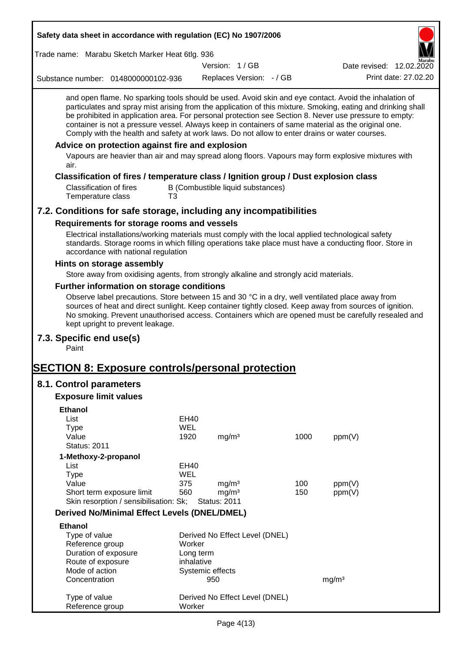| Safety data sheet in accordance with regulation (EC) No 1907/2006                                                                                                                                                                                                                                                                                                                                                                                                                                                                                                                                                                                                                                                                                                                                |                |                                   |                          |      |                          |
|--------------------------------------------------------------------------------------------------------------------------------------------------------------------------------------------------------------------------------------------------------------------------------------------------------------------------------------------------------------------------------------------------------------------------------------------------------------------------------------------------------------------------------------------------------------------------------------------------------------------------------------------------------------------------------------------------------------------------------------------------------------------------------------------------|----------------|-----------------------------------|--------------------------|------|--------------------------|
| Trade name: Marabu Sketch Marker Heat 6tlg. 936                                                                                                                                                                                                                                                                                                                                                                                                                                                                                                                                                                                                                                                                                                                                                  |                |                                   |                          |      |                          |
|                                                                                                                                                                                                                                                                                                                                                                                                                                                                                                                                                                                                                                                                                                                                                                                                  |                | Version: 1/GB                     |                          |      | Date revised: 12.02.2020 |
| Substance number: 0148000000102-936                                                                                                                                                                                                                                                                                                                                                                                                                                                                                                                                                                                                                                                                                                                                                              |                |                                   | Replaces Version: - / GB |      | Print date: 27,02.20     |
| and open flame. No sparking tools should be used. Avoid skin and eye contact. Avoid the inhalation of<br>particulates and spray mist arising from the application of this mixture. Smoking, eating and drinking shall<br>be prohibited in application area. For personal protection see Section 8. Never use pressure to empty:<br>container is not a pressure vessel. Always keep in containers of same material as the original one.<br>Comply with the health and safety at work laws. Do not allow to enter drains or water courses.<br>Advice on protection against fire and explosion<br>Vapours are heavier than air and may spread along floors. Vapours may form explosive mixtures with<br>air.<br>Classification of fires / temperature class / Ignition group / Dust explosion class |                |                                   |                          |      |                          |
| <b>Classification of fires</b><br>Temperature class                                                                                                                                                                                                                                                                                                                                                                                                                                                                                                                                                                                                                                                                                                                                              | T <sub>3</sub> | B (Combustible liquid substances) |                          |      |                          |
| 7.2. Conditions for safe storage, including any incompatibilities                                                                                                                                                                                                                                                                                                                                                                                                                                                                                                                                                                                                                                                                                                                                |                |                                   |                          |      |                          |
| Requirements for storage rooms and vessels                                                                                                                                                                                                                                                                                                                                                                                                                                                                                                                                                                                                                                                                                                                                                       |                |                                   |                          |      |                          |
| Electrical installations/working materials must comply with the local applied technological safety<br>standards. Storage rooms in which filling operations take place must have a conducting floor. Store in<br>accordance with national regulation                                                                                                                                                                                                                                                                                                                                                                                                                                                                                                                                              |                |                                   |                          |      |                          |
| Hints on storage assembly                                                                                                                                                                                                                                                                                                                                                                                                                                                                                                                                                                                                                                                                                                                                                                        |                |                                   |                          |      |                          |
| Store away from oxidising agents, from strongly alkaline and strongly acid materials.                                                                                                                                                                                                                                                                                                                                                                                                                                                                                                                                                                                                                                                                                                            |                |                                   |                          |      |                          |
| Further information on storage conditions                                                                                                                                                                                                                                                                                                                                                                                                                                                                                                                                                                                                                                                                                                                                                        |                |                                   |                          |      |                          |
| Observe label precautions. Store between 15 and 30 °C in a dry, well ventilated place away from<br>sources of heat and direct sunlight. Keep container tightly closed. Keep away from sources of ignition.<br>No smoking. Prevent unauthorised access. Containers which are opened must be carefully resealed and<br>kept upright to prevent leakage.                                                                                                                                                                                                                                                                                                                                                                                                                                            |                |                                   |                          |      |                          |
| 7.3. Specific end use(s)<br>Paint                                                                                                                                                                                                                                                                                                                                                                                                                                                                                                                                                                                                                                                                                                                                                                |                |                                   |                          |      |                          |
| <u> SECTION 8: Exposure controls/personal protection</u>                                                                                                                                                                                                                                                                                                                                                                                                                                                                                                                                                                                                                                                                                                                                         |                |                                   |                          |      |                          |
| 8.1. Control parameters                                                                                                                                                                                                                                                                                                                                                                                                                                                                                                                                                                                                                                                                                                                                                                          |                |                                   |                          |      |                          |
| <b>Exposure limit values</b>                                                                                                                                                                                                                                                                                                                                                                                                                                                                                                                                                                                                                                                                                                                                                                     |                |                                   |                          |      |                          |
| <b>Ethanol</b>                                                                                                                                                                                                                                                                                                                                                                                                                                                                                                                                                                                                                                                                                                                                                                                   |                |                                   |                          |      |                          |
| List                                                                                                                                                                                                                                                                                                                                                                                                                                                                                                                                                                                                                                                                                                                                                                                             | EH40           |                                   |                          |      |                          |
| <b>Type</b>                                                                                                                                                                                                                                                                                                                                                                                                                                                                                                                                                                                                                                                                                                                                                                                      | <b>WEL</b>     |                                   |                          |      |                          |
| Value<br><b>Status: 2011</b>                                                                                                                                                                                                                                                                                                                                                                                                                                                                                                                                                                                                                                                                                                                                                                     | 1920           | mg/m <sup>3</sup>                 |                          | 1000 | ppm(V)                   |
|                                                                                                                                                                                                                                                                                                                                                                                                                                                                                                                                                                                                                                                                                                                                                                                                  |                |                                   |                          |      |                          |
| 1-Methoxy-2-propanol<br>List                                                                                                                                                                                                                                                                                                                                                                                                                                                                                                                                                                                                                                                                                                                                                                     | EH40           |                                   |                          |      |                          |
| <b>Type</b>                                                                                                                                                                                                                                                                                                                                                                                                                                                                                                                                                                                                                                                                                                                                                                                      | <b>WEL</b>     |                                   |                          |      |                          |
| Value                                                                                                                                                                                                                                                                                                                                                                                                                                                                                                                                                                                                                                                                                                                                                                                            | 375            | mg/m <sup>3</sup>                 |                          | 100  | ppm(V)                   |
| Short term exposure limit                                                                                                                                                                                                                                                                                                                                                                                                                                                                                                                                                                                                                                                                                                                                                                        | 560            | mg/m <sup>3</sup>                 |                          | 150  | ppm(V)                   |
| Skin resorption / sensibilisation: Sk;                                                                                                                                                                                                                                                                                                                                                                                                                                                                                                                                                                                                                                                                                                                                                           |                | <b>Status: 2011</b>               |                          |      |                          |
| <b>Derived No/Minimal Effect Levels (DNEL/DMEL)</b>                                                                                                                                                                                                                                                                                                                                                                                                                                                                                                                                                                                                                                                                                                                                              |                |                                   |                          |      |                          |
| <b>Ethanol</b>                                                                                                                                                                                                                                                                                                                                                                                                                                                                                                                                                                                                                                                                                                                                                                                   |                |                                   |                          |      |                          |
| Type of value                                                                                                                                                                                                                                                                                                                                                                                                                                                                                                                                                                                                                                                                                                                                                                                    |                | Derived No Effect Level (DNEL)    |                          |      |                          |
| Reference group                                                                                                                                                                                                                                                                                                                                                                                                                                                                                                                                                                                                                                                                                                                                                                                  | Worker         |                                   |                          |      |                          |
| Duration of exposure<br>Route of exposure                                                                                                                                                                                                                                                                                                                                                                                                                                                                                                                                                                                                                                                                                                                                                        |                | Long term<br>inhalative           |                          |      |                          |
| Mode of action                                                                                                                                                                                                                                                                                                                                                                                                                                                                                                                                                                                                                                                                                                                                                                                   |                | Systemic effects                  |                          |      |                          |
| Concentration                                                                                                                                                                                                                                                                                                                                                                                                                                                                                                                                                                                                                                                                                                                                                                                    |                | 950                               |                          |      | mg/m <sup>3</sup>        |
|                                                                                                                                                                                                                                                                                                                                                                                                                                                                                                                                                                                                                                                                                                                                                                                                  |                |                                   |                          |      |                          |
| Type of value<br>Reference group                                                                                                                                                                                                                                                                                                                                                                                                                                                                                                                                                                                                                                                                                                                                                                 | Worker         | Derived No Effect Level (DNEL)    |                          |      |                          |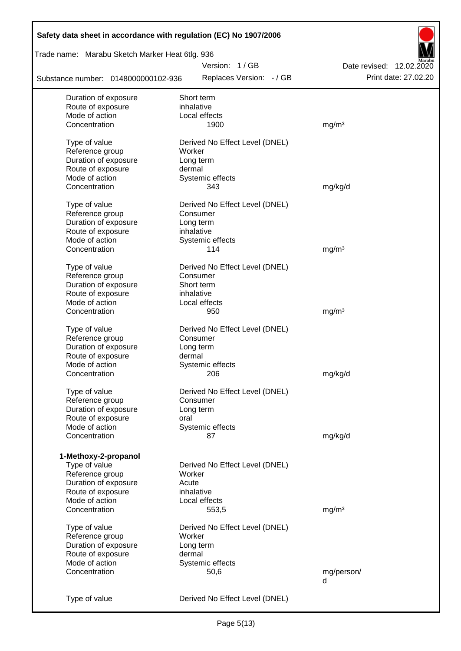| Safety data sheet in accordance with regulation (EC) No 1907/2006 |                                |                          |
|-------------------------------------------------------------------|--------------------------------|--------------------------|
| Trade name: Marabu Sketch Marker Heat 6tlg. 936                   |                                |                          |
|                                                                   | Version: 1/GB                  | Date revised: 12.02.2020 |
| Substance number: 0148000000102-936                               | Replaces Version: - / GB       | Print date: 27.02.20     |
| Duration of exposure                                              | Short term                     |                          |
| Route of exposure                                                 | inhalative                     |                          |
| Mode of action                                                    | Local effects                  |                          |
| Concentration                                                     | 1900                           | mg/m <sup>3</sup>        |
| Type of value                                                     | Derived No Effect Level (DNEL) |                          |
| Reference group                                                   | Worker                         |                          |
| Duration of exposure                                              | Long term                      |                          |
| Route of exposure                                                 | dermal                         |                          |
| Mode of action                                                    | Systemic effects               |                          |
| Concentration                                                     | 343                            | mg/kg/d                  |
|                                                                   |                                |                          |
| Type of value                                                     | Derived No Effect Level (DNEL) |                          |
| Reference group                                                   | Consumer                       |                          |
| Duration of exposure                                              | Long term                      |                          |
| Route of exposure                                                 | inhalative                     |                          |
| Mode of action                                                    | Systemic effects               |                          |
| Concentration                                                     | 114                            | mg/m <sup>3</sup>        |
| Type of value                                                     | Derived No Effect Level (DNEL) |                          |
| Reference group                                                   | Consumer                       |                          |
| Duration of exposure                                              | Short term                     |                          |
| Route of exposure                                                 | inhalative                     |                          |
| Mode of action                                                    | Local effects                  |                          |
| Concentration                                                     | 950                            | mg/m <sup>3</sup>        |
|                                                                   |                                |                          |
| Type of value                                                     | Derived No Effect Level (DNEL) |                          |
| Reference group                                                   | Consumer                       |                          |
| Duration of exposure                                              | Long term                      |                          |
| Route of exposure                                                 | dermal                         |                          |
| Mode of action                                                    | Systemic effects               |                          |
| Concentration                                                     | 206                            | mg/kg/d                  |
|                                                                   |                                |                          |
| Type of value                                                     | Derived No Effect Level (DNEL) |                          |
| Reference group                                                   | Consumer                       |                          |
| Duration of exposure                                              | Long term                      |                          |
| Route of exposure<br>Mode of action                               | oral                           |                          |
| Concentration                                                     | Systemic effects               |                          |
|                                                                   | 87                             | mg/kg/d                  |
| 1-Methoxy-2-propanol                                              |                                |                          |
| Type of value                                                     | Derived No Effect Level (DNEL) |                          |
| Reference group                                                   | Worker                         |                          |
| Duration of exposure                                              | Acute                          |                          |
| Route of exposure                                                 | inhalative                     |                          |
| Mode of action                                                    | Local effects                  |                          |
| Concentration                                                     | 553,5                          | mg/m <sup>3</sup>        |
|                                                                   |                                |                          |
| Type of value                                                     | Derived No Effect Level (DNEL) |                          |
| Reference group                                                   | Worker                         |                          |
| Duration of exposure                                              | Long term                      |                          |
| Route of exposure                                                 | dermal                         |                          |
| Mode of action                                                    | Systemic effects               |                          |
| Concentration                                                     | 50,6                           | mg/person/               |
|                                                                   |                                | d                        |
| Type of value                                                     | Derived No Effect Level (DNEL) |                          |
|                                                                   |                                |                          |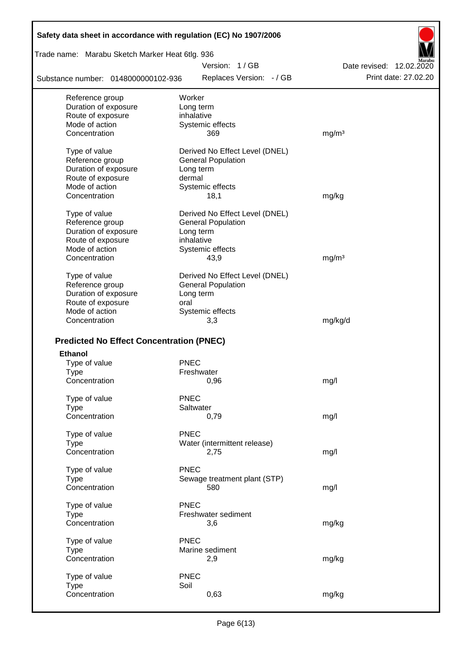| Safety data sheet in accordance with regulation (EC) No 1907/2006 |                                |                          |
|-------------------------------------------------------------------|--------------------------------|--------------------------|
| Trade name: Marabu Sketch Marker Heat 6tlg. 936                   |                                |                          |
|                                                                   | Version: 1/GB                  | Date revised: 12.02.2020 |
| Substance number: 0148000000102-936                               | Replaces Version: - / GB       | Print date: 27.02.20     |
| Reference group                                                   | Worker                         |                          |
| Duration of exposure                                              | Long term                      |                          |
| Route of exposure                                                 | inhalative                     |                          |
| Mode of action                                                    | Systemic effects               |                          |
| Concentration                                                     | 369                            | mg/m <sup>3</sup>        |
| Type of value                                                     | Derived No Effect Level (DNEL) |                          |
| Reference group                                                   | <b>General Population</b>      |                          |
| Duration of exposure                                              | Long term                      |                          |
| Route of exposure                                                 | dermal                         |                          |
| Mode of action                                                    | Systemic effects               |                          |
| Concentration                                                     | 18,1                           | mg/kg                    |
| Type of value                                                     | Derived No Effect Level (DNEL) |                          |
| Reference group                                                   | <b>General Population</b>      |                          |
| Duration of exposure                                              | Long term                      |                          |
| Route of exposure                                                 | inhalative                     |                          |
| Mode of action                                                    | Systemic effects               |                          |
| Concentration                                                     | 43,9                           | mg/m <sup>3</sup>        |
| Type of value                                                     | Derived No Effect Level (DNEL) |                          |
| Reference group                                                   | <b>General Population</b>      |                          |
| Duration of exposure                                              | Long term                      |                          |
| Route of exposure                                                 | oral                           |                          |
| Mode of action                                                    | Systemic effects               |                          |
| Concentration                                                     | 3,3                            | mg/kg/d                  |
|                                                                   |                                |                          |
| <b>Predicted No Effect Concentration (PNEC)</b>                   |                                |                          |
| <b>Ethanol</b>                                                    | <b>PNEC</b>                    |                          |
| Type of value                                                     | Freshwater                     |                          |
| Type<br>Concentration                                             | 0,96                           | mg/l                     |
|                                                                   |                                |                          |
| Type of value                                                     | <b>PNEC</b>                    |                          |
| <b>Type</b>                                                       | Saltwater                      |                          |
| Concentration                                                     | 0,79                           | mg/l                     |
| Type of value                                                     | <b>PNEC</b>                    |                          |
| <b>Type</b>                                                       | Water (intermittent release)   |                          |
| Concentration                                                     | 2,75                           | mg/l                     |
| Type of value                                                     | <b>PNEC</b>                    |                          |
| <b>Type</b>                                                       | Sewage treatment plant (STP)   |                          |
| Concentration                                                     | 580                            | mg/l                     |
| Type of value                                                     | <b>PNEC</b>                    |                          |
| <b>Type</b>                                                       | Freshwater sediment            |                          |
| Concentration                                                     | 3,6                            | mg/kg                    |
| Type of value                                                     | <b>PNEC</b>                    |                          |
| <b>Type</b>                                                       | Marine sediment                |                          |
| Concentration                                                     | 2,9                            | mg/kg                    |
|                                                                   |                                |                          |
| Type of value                                                     | <b>PNEC</b>                    |                          |
| <b>Type</b>                                                       | Soil                           |                          |
| Concentration                                                     | 0,63                           | mg/kg                    |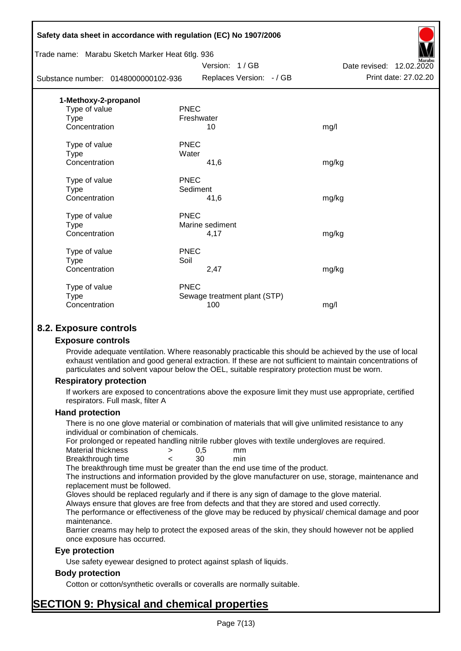|                                                 | Safety data sheet in accordance with regulation (EC) No 1907/2006 |                          |
|-------------------------------------------------|-------------------------------------------------------------------|--------------------------|
| Trade name: Marabu Sketch Marker Heat 6tlg. 936 |                                                                   |                          |
|                                                 | Version: 1/GB                                                     | Date revised: 12.02.2020 |
| Substance number: 0148000000102-936             | Replaces Version: - / GB                                          | Print date: 27.02.20     |
| 1-Methoxy-2-propanol                            |                                                                   |                          |
| Type of value                                   | <b>PNEC</b>                                                       |                          |
| <b>Type</b>                                     | Freshwater                                                        |                          |
| Concentration                                   | 10                                                                | mg/l                     |
| Type of value                                   | <b>PNEC</b>                                                       |                          |
| <b>Type</b>                                     | Water                                                             |                          |
| Concentration                                   | 41,6                                                              | mg/kg                    |
| Type of value                                   | <b>PNEC</b>                                                       |                          |
| <b>Type</b>                                     | Sediment                                                          |                          |
| Concentration                                   | 41,6                                                              | mg/kg                    |
| Type of value                                   | <b>PNEC</b>                                                       |                          |
| <b>Type</b>                                     | Marine sediment                                                   |                          |
| Concentration                                   | 4,17                                                              | mg/kg                    |
| Type of value                                   | <b>PNEC</b>                                                       |                          |
| <b>Type</b>                                     | Soil                                                              |                          |
| Concentration                                   | 2,47                                                              | mg/kg                    |
| Type of value                                   | <b>PNEC</b>                                                       |                          |
| <b>Type</b>                                     | Sewage treatment plant (STP)                                      |                          |
| Concentration                                   | 100                                                               | mg/l                     |
|                                                 |                                                                   |                          |

### **8.2. Exposure controls**

#### **Exposure controls**

Provide adequate ventilation. Where reasonably practicable this should be achieved by the use of local exhaust ventilation and good general extraction. If these are not sufficient to maintain concentrations of particulates and solvent vapour below the OEL, suitable respiratory protection must be worn.

#### **Respiratory protection**

If workers are exposed to concentrations above the exposure limit they must use appropriate, certified respirators. Full mask, filter A

#### **Hand protection**

There is no one glove material or combination of materials that will give unlimited resistance to any individual or combination of chemicals.

For prolonged or repeated handling nitrile rubber gloves with textile undergloves are required.

| Material thickness | 0.5 | mm  |
|--------------------|-----|-----|
| Breakthrough time  | 30  | min |

The breakthrough time must be greater than the end use time of the product.

The instructions and information provided by the glove manufacturer on use, storage, maintenance and replacement must be followed.

Gloves should be replaced regularly and if there is any sign of damage to the glove material.

Always ensure that gloves are free from defects and that they are stored and used correctly.

The performance or effectiveness of the glove may be reduced by physical/ chemical damage and poor maintenance.

Barrier creams may help to protect the exposed areas of the skin, they should however not be applied once exposure has occurred.

#### **Eye protection**

Use safety eyewear designed to protect against splash of liquids.

#### **Body protection**

Cotton or cotton/synthetic overalls or coveralls are normally suitable.

# **SECTION 9: Physical and chemical properties**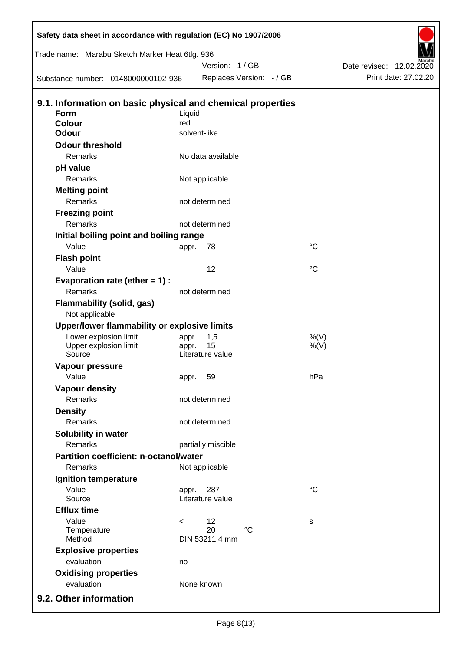| Trade name: Marabu Sketch Marker Heat 6tlg. 936            |                     |                    |                          |                    |                          |                      |
|------------------------------------------------------------|---------------------|--------------------|--------------------------|--------------------|--------------------------|----------------------|
|                                                            |                     | Version: 1/GB      |                          |                    | Date revised: 12.02.2020 |                      |
| Substance number: 0148000000102-936                        |                     |                    | Replaces Version: - / GB |                    |                          | Print date: 27.02.20 |
|                                                            |                     |                    |                          |                    |                          |                      |
| 9.1. Information on basic physical and chemical properties |                     |                    |                          |                    |                          |                      |
| Form                                                       | Liquid              |                    |                          |                    |                          |                      |
| Colour<br><b>Odour</b>                                     | red<br>solvent-like |                    |                          |                    |                          |                      |
| <b>Odour threshold</b>                                     |                     |                    |                          |                    |                          |                      |
| Remarks                                                    |                     | No data available  |                          |                    |                          |                      |
|                                                            |                     |                    |                          |                    |                          |                      |
| pH value<br>Remarks                                        |                     |                    |                          |                    |                          |                      |
|                                                            |                     | Not applicable     |                          |                    |                          |                      |
| <b>Melting point</b><br>Remarks                            |                     | not determined     |                          |                    |                          |                      |
|                                                            |                     |                    |                          |                    |                          |                      |
| <b>Freezing point</b><br>Remarks                           |                     |                    |                          |                    |                          |                      |
|                                                            |                     | not determined     |                          |                    |                          |                      |
| Initial boiling point and boiling range                    |                     |                    |                          | $^{\circ}C$        |                          |                      |
| Value                                                      | appr.               | 78                 |                          |                    |                          |                      |
| <b>Flash point</b>                                         |                     |                    |                          |                    |                          |                      |
| Value                                                      |                     | 12                 |                          | $\rm ^{\circ}C$    |                          |                      |
| Evaporation rate (ether $= 1$ ) :                          |                     |                    |                          |                    |                          |                      |
| Remarks                                                    |                     | not determined     |                          |                    |                          |                      |
| <b>Flammability (solid, gas)</b>                           |                     |                    |                          |                    |                          |                      |
| Not applicable                                             |                     |                    |                          |                    |                          |                      |
| Upper/lower flammability or explosive limits               |                     |                    |                          |                    |                          |                      |
| Lower explosion limit<br>Upper explosion limit             | appr.<br>appr.      | 1,5<br>15          |                          | $%$ (V)<br>$%$ (V) |                          |                      |
| Source                                                     |                     | Literature value   |                          |                    |                          |                      |
| Vapour pressure                                            |                     |                    |                          |                    |                          |                      |
| Value                                                      | appr.               | 59                 |                          | hPa                |                          |                      |
| <b>Vapour density</b>                                      |                     |                    |                          |                    |                          |                      |
| Remarks                                                    |                     | not determined     |                          |                    |                          |                      |
| <b>Density</b>                                             |                     |                    |                          |                    |                          |                      |
| Remarks                                                    |                     | not determined     |                          |                    |                          |                      |
| Solubility in water                                        |                     |                    |                          |                    |                          |                      |
| Remarks                                                    |                     | partially miscible |                          |                    |                          |                      |
| Partition coefficient: n-octanol/water                     |                     |                    |                          |                    |                          |                      |
| Remarks                                                    |                     | Not applicable     |                          |                    |                          |                      |
| Ignition temperature                                       |                     |                    |                          |                    |                          |                      |
| Value                                                      | appr.               | 287                |                          | $^{\circ}C$        |                          |                      |
| Source                                                     |                     | Literature value   |                          |                    |                          |                      |
| <b>Efflux time</b>                                         |                     |                    |                          |                    |                          |                      |
| Value                                                      | $\,<\,$             | 12                 |                          | s                  |                          |                      |
| Temperature                                                |                     | 20                 | $^{\circ}C$              |                    |                          |                      |
| Method                                                     |                     | DIN 53211 4 mm     |                          |                    |                          |                      |
| <b>Explosive properties</b>                                |                     |                    |                          |                    |                          |                      |
| evaluation                                                 | no                  |                    |                          |                    |                          |                      |
| <b>Oxidising properties</b>                                |                     |                    |                          |                    |                          |                      |
| evaluation                                                 |                     | None known         |                          |                    |                          |                      |
| 9.2. Other information                                     |                     |                    |                          |                    |                          |                      |

Г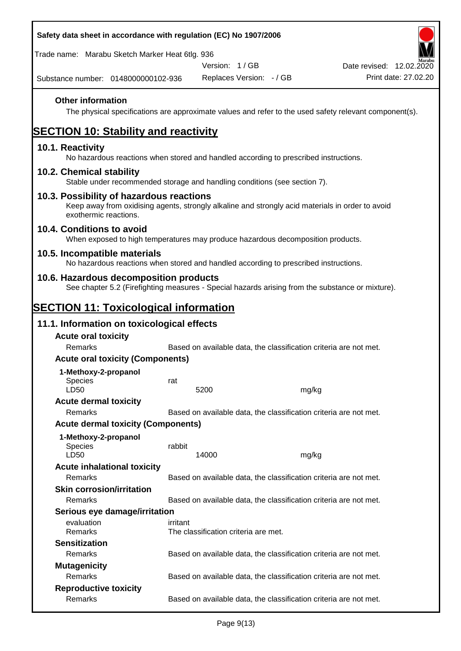| Safety data sheet in accordance with regulation (EC) No 1907/2006                                                                                                     |          |                                      |                          |                                                                                                        |
|-----------------------------------------------------------------------------------------------------------------------------------------------------------------------|----------|--------------------------------------|--------------------------|--------------------------------------------------------------------------------------------------------|
| Trade name: Marabu Sketch Marker Heat 6tlg. 936                                                                                                                       |          |                                      |                          |                                                                                                        |
|                                                                                                                                                                       |          | Version: 1 / GB                      |                          | Date revised: 12.02.2020                                                                               |
| Substance number: 0148000000102-936                                                                                                                                   |          |                                      | Replaces Version: - / GB | Print date: 27.02.20                                                                                   |
| <b>Other information</b>                                                                                                                                              |          |                                      |                          | The physical specifications are approximate values and refer to the used safety relevant component(s). |
| <b>SECTION 10: Stability and reactivity</b>                                                                                                                           |          |                                      |                          |                                                                                                        |
| 10.1. Reactivity<br>No hazardous reactions when stored and handled according to prescribed instructions.                                                              |          |                                      |                          |                                                                                                        |
| 10.2. Chemical stability<br>Stable under recommended storage and handling conditions (see section 7).                                                                 |          |                                      |                          |                                                                                                        |
| 10.3. Possibility of hazardous reactions<br>Keep away from oxidising agents, strongly alkaline and strongly acid materials in order to avoid<br>exothermic reactions. |          |                                      |                          |                                                                                                        |
| 10.4. Conditions to avoid<br>When exposed to high temperatures may produce hazardous decomposition products.                                                          |          |                                      |                          |                                                                                                        |
| 10.5. Incompatible materials<br>No hazardous reactions when stored and handled according to prescribed instructions.                                                  |          |                                      |                          |                                                                                                        |
| 10.6. Hazardous decomposition products<br>See chapter 5.2 (Firefighting measures - Special hazards arising from the substance or mixture).                            |          |                                      |                          |                                                                                                        |
| <b>SECTION 11: Toxicological information</b>                                                                                                                          |          |                                      |                          |                                                                                                        |
| 11.1. Information on toxicological effects                                                                                                                            |          |                                      |                          |                                                                                                        |
| <b>Acute oral toxicity</b>                                                                                                                                            |          |                                      |                          |                                                                                                        |
| Remarks                                                                                                                                                               |          |                                      |                          | Based on available data, the classification criteria are not met.                                      |
| <b>Acute oral toxicity (Components)</b>                                                                                                                               |          |                                      |                          |                                                                                                        |
| 1-Methoxy-2-propanol                                                                                                                                                  |          |                                      |                          |                                                                                                        |
| <b>Species</b>                                                                                                                                                        | rat      |                                      |                          |                                                                                                        |
| LD50                                                                                                                                                                  |          | 5200                                 | mg/kg                    |                                                                                                        |
| <b>Acute dermal toxicity</b>                                                                                                                                          |          |                                      |                          |                                                                                                        |
| Remarks                                                                                                                                                               |          |                                      |                          | Based on available data, the classification criteria are not met.                                      |
| <b>Acute dermal toxicity (Components)</b>                                                                                                                             |          |                                      |                          |                                                                                                        |
| 1-Methoxy-2-propanol<br><b>Species</b><br>LD50                                                                                                                        | rabbit   | 14000                                | mg/kg                    |                                                                                                        |
| <b>Acute inhalational toxicity</b>                                                                                                                                    |          |                                      |                          |                                                                                                        |
| Remarks                                                                                                                                                               |          |                                      |                          | Based on available data, the classification criteria are not met.                                      |
| <b>Skin corrosion/irritation</b>                                                                                                                                      |          |                                      |                          |                                                                                                        |
| Remarks                                                                                                                                                               |          |                                      |                          | Based on available data, the classification criteria are not met.                                      |
| Serious eye damage/irritation                                                                                                                                         |          |                                      |                          |                                                                                                        |
| evaluation<br>Remarks                                                                                                                                                 | irritant | The classification criteria are met. |                          |                                                                                                        |
| <b>Sensitization</b>                                                                                                                                                  |          |                                      |                          |                                                                                                        |
| Remarks                                                                                                                                                               |          |                                      |                          | Based on available data, the classification criteria are not met.                                      |
| <b>Mutagenicity</b>                                                                                                                                                   |          |                                      |                          |                                                                                                        |
| Remarks                                                                                                                                                               |          |                                      |                          | Based on available data, the classification criteria are not met.                                      |
| <b>Reproductive toxicity</b>                                                                                                                                          |          |                                      |                          |                                                                                                        |
| Remarks                                                                                                                                                               |          |                                      |                          | Based on available data, the classification criteria are not met.                                      |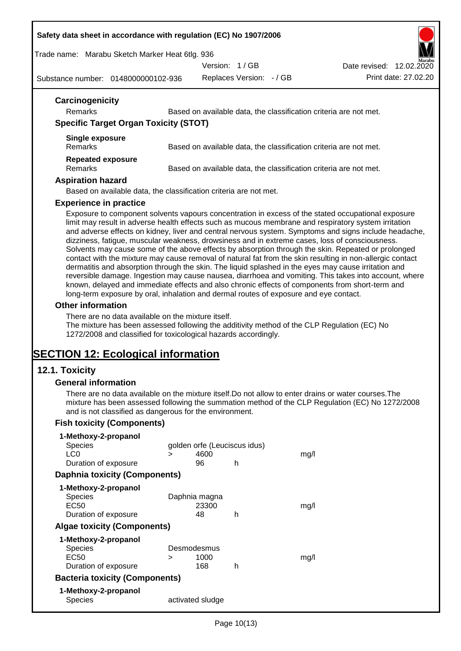#### **Safety data sheet in accordance with regulation (EC) No 1907/2006**

Trade name: Marabu Sketch Marker Heat 6tlg. 936

Version: 1 / GB



Substance number: 0148000000102-936

Replaces Version: - / GB Print date: 27.02.20

| 12.02.2020 | arabe |
|------------|-------|
|            |       |

| Remarks                                                         | Based on available data, the classification criteria are not met.                                                                                                                                                                                                                                                                                                                                                                                                                                                                                                                                                                                                                                                                                                                                                                                                                                                                                                                                                                                     |
|-----------------------------------------------------------------|-------------------------------------------------------------------------------------------------------------------------------------------------------------------------------------------------------------------------------------------------------------------------------------------------------------------------------------------------------------------------------------------------------------------------------------------------------------------------------------------------------------------------------------------------------------------------------------------------------------------------------------------------------------------------------------------------------------------------------------------------------------------------------------------------------------------------------------------------------------------------------------------------------------------------------------------------------------------------------------------------------------------------------------------------------|
| <b>Specific Target Organ Toxicity (STOT)</b>                    |                                                                                                                                                                                                                                                                                                                                                                                                                                                                                                                                                                                                                                                                                                                                                                                                                                                                                                                                                                                                                                                       |
| <b>Single exposure</b><br>Remarks                               | Based on available data, the classification criteria are not met.                                                                                                                                                                                                                                                                                                                                                                                                                                                                                                                                                                                                                                                                                                                                                                                                                                                                                                                                                                                     |
| <b>Repeated exposure</b><br>Remarks                             | Based on available data, the classification criteria are not met.                                                                                                                                                                                                                                                                                                                                                                                                                                                                                                                                                                                                                                                                                                                                                                                                                                                                                                                                                                                     |
| <b>Aspiration hazard</b>                                        |                                                                                                                                                                                                                                                                                                                                                                                                                                                                                                                                                                                                                                                                                                                                                                                                                                                                                                                                                                                                                                                       |
|                                                                 | Based on available data, the classification criteria are not met.                                                                                                                                                                                                                                                                                                                                                                                                                                                                                                                                                                                                                                                                                                                                                                                                                                                                                                                                                                                     |
| <b>Experience in practice</b>                                   |                                                                                                                                                                                                                                                                                                                                                                                                                                                                                                                                                                                                                                                                                                                                                                                                                                                                                                                                                                                                                                                       |
| Other information                                               | Exposure to component solvents vapours concentration in excess of the stated occupational exposure<br>limit may result in adverse health effects such as mucous membrane and respiratory system irritation<br>and adverse effects on kidney, liver and central nervous system. Symptoms and signs include headache,<br>dizziness, fatigue, muscular weakness, drowsiness and in extreme cases, loss of consciousness.<br>Solvents may cause some of the above effects by absorption through the skin. Repeated or prolonged<br>contact with the mixture may cause removal of natural fat from the skin resulting in non-allergic contact<br>dermatitis and absorption through the skin. The liquid splashed in the eyes may cause irritation and<br>reversible damage. Ingestion may cause nausea, diarrhoea and vomiting. This takes into account, where<br>known, delayed and immediate effects and also chronic effects of components from short-term and<br>long-term exposure by oral, inhalation and dermal routes of exposure and eye contact. |
| 1272/2008 and classified for toxicological hazards accordingly. | There are no data available on the mixture itself.<br>The mixture has been assessed following the additivity method of the CLP Regulation (EC) No                                                                                                                                                                                                                                                                                                                                                                                                                                                                                                                                                                                                                                                                                                                                                                                                                                                                                                     |

# **SECTION 12: Ecological information**

### **12.1. Toxicity**

#### **General information**

There are no data available on the mixture itself.Do not allow to enter drains or water courses.The mixture has been assessed following the summation method of the CLP Regulation (EC) No 1272/2008 and is not classified as dangerous for the environment.

### **Fish toxicity (Components)**

| 1-Methoxy-2-propanol                  |             |                              |   |      |
|---------------------------------------|-------------|------------------------------|---|------|
| <b>Species</b>                        |             | golden orfe (Leuciscus idus) |   |      |
| LC <sub>0</sub>                       | $\geq$      | 4600                         |   | mq/l |
| Duration of exposure                  |             | 96                           | h |      |
| <b>Daphnia toxicity (Components)</b>  |             |                              |   |      |
| 1-Methoxy-2-propanol                  |             |                              |   |      |
| <b>Species</b>                        |             | Daphnia magna                |   |      |
| EC50                                  |             | 23300                        |   | mq/l |
| Duration of exposure                  |             | 48                           | h |      |
| <b>Algae toxicity (Components)</b>    |             |                              |   |      |
| 1-Methoxy-2-propanol                  |             |                              |   |      |
| <b>Species</b>                        | Desmodesmus |                              |   |      |
| EC50                                  | ⋗           | 1000                         |   | mq/l |
| Duration of exposure                  |             | 168                          | h |      |
| <b>Bacteria toxicity (Components)</b> |             |                              |   |      |
| 1-Methoxy-2-propanol                  |             |                              |   |      |
| Species                               |             | activated sludge             |   |      |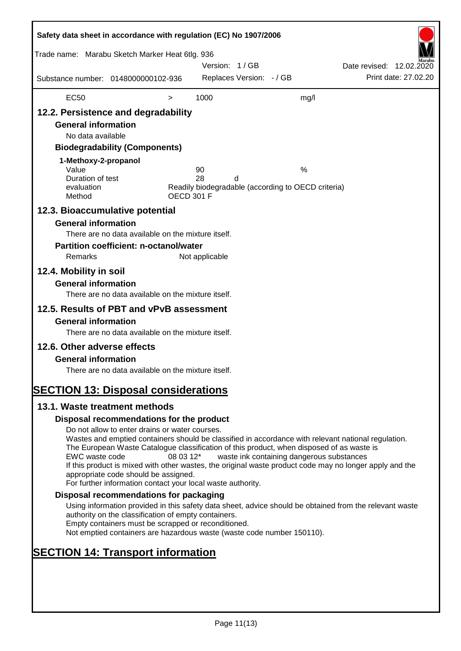| Safety data sheet in accordance with regulation (EC) No 1907/2006<br>Trade name: Marabu Sketch Marker Heat 6tlg. 936                                                              |                                                                                                                                                                                                                                                                                                                                                                                                                                                                      |                   | Version: 1/GB  |                          |                                                         | Date revised: 12.02.2020 |                      |
|-----------------------------------------------------------------------------------------------------------------------------------------------------------------------------------|----------------------------------------------------------------------------------------------------------------------------------------------------------------------------------------------------------------------------------------------------------------------------------------------------------------------------------------------------------------------------------------------------------------------------------------------------------------------|-------------------|----------------|--------------------------|---------------------------------------------------------|--------------------------|----------------------|
| Substance number: 0148000000102-936                                                                                                                                               |                                                                                                                                                                                                                                                                                                                                                                                                                                                                      |                   |                | Replaces Version: - / GB |                                                         |                          | Print date: 27.02.20 |
| <b>EC50</b>                                                                                                                                                                       |                                                                                                                                                                                                                                                                                                                                                                                                                                                                      | $\, > \,$         | 1000           |                          | mg/l                                                    |                          |                      |
| 12.2. Persistence and degradability<br><b>General information</b><br>No data available<br>1-Methoxy-2-propanol<br>Value<br>Duration of test<br>evaluation                         | <b>Biodegradability (Components)</b>                                                                                                                                                                                                                                                                                                                                                                                                                                 |                   | 90<br>28       | d                        | %<br>Readily biodegradable (according to OECD criteria) |                          |                      |
| Method<br>12.3. Bioaccumulative potential                                                                                                                                         |                                                                                                                                                                                                                                                                                                                                                                                                                                                                      | <b>OECD 301 F</b> |                |                          |                                                         |                          |                      |
| <b>General information</b><br>Remarks<br>12.4. Mobility in soil                                                                                                                   | There are no data available on the mixture itself.<br><b>Partition coefficient: n-octanol/water</b>                                                                                                                                                                                                                                                                                                                                                                  |                   | Not applicable |                          |                                                         |                          |                      |
| <b>General information</b>                                                                                                                                                        | There are no data available on the mixture itself.                                                                                                                                                                                                                                                                                                                                                                                                                   |                   |                |                          |                                                         |                          |                      |
| 12.5. Results of PBT and vPvB assessment<br><b>General information</b><br>12.6. Other adverse effects<br><b>General information</b><br><b>SECTION 13: Disposal considerations</b> | There are no data available on the mixture itself.<br>There are no data available on the mixture itself.                                                                                                                                                                                                                                                                                                                                                             |                   |                |                          |                                                         |                          |                      |
| 13.1. Waste treatment methods                                                                                                                                                     |                                                                                                                                                                                                                                                                                                                                                                                                                                                                      |                   |                |                          |                                                         |                          |                      |
|                                                                                                                                                                                   | Disposal recommendations for the product                                                                                                                                                                                                                                                                                                                                                                                                                             |                   |                |                          |                                                         |                          |                      |
| EWC waste code                                                                                                                                                                    | Do not allow to enter drains or water courses.<br>Wastes and emptied containers should be classified in accordance with relevant national regulation.<br>The European Waste Catalogue classification of this product, when disposed of as waste is<br>If this product is mixed with other wastes, the original waste product code may no longer apply and the<br>appropriate code should be assigned.<br>For further information contact your local waste authority. | 08 03 12*         |                |                          | waste ink containing dangerous substances               |                          |                      |
|                                                                                                                                                                                   | Disposal recommendations for packaging                                                                                                                                                                                                                                                                                                                                                                                                                               |                   |                |                          |                                                         |                          |                      |
|                                                                                                                                                                                   | Using information provided in this safety data sheet, advice should be obtained from the relevant waste<br>authority on the classification of empty containers.<br>Empty containers must be scrapped or reconditioned.<br>Not emptied containers are hazardous waste (waste code number 150110).                                                                                                                                                                     |                   |                |                          |                                                         |                          |                      |
| <b>SECTION 14: Transport information</b>                                                                                                                                          |                                                                                                                                                                                                                                                                                                                                                                                                                                                                      |                   |                |                          |                                                         |                          |                      |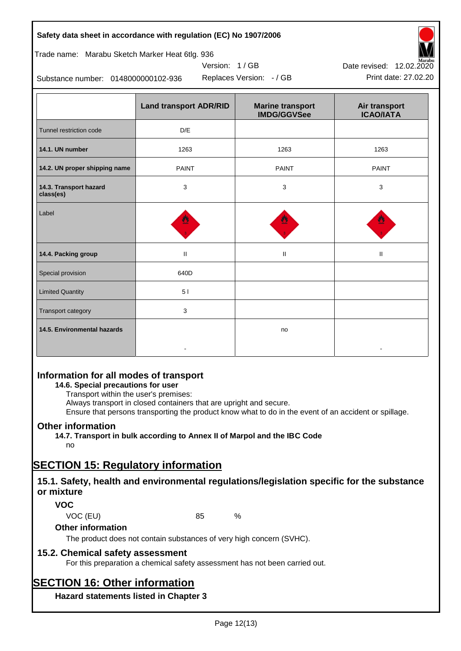### **Safety data sheet in accordance with regulation (EC) No 1907/2006**

| Trade name: Marabu Sketch Marker Heat 6tlg. 936 |  |  |  |
|-------------------------------------------------|--|--|--|

Substance number: 0148000000102-936

|                                     | <b>Land transport ADR/RID</b> | <b>Marine transport</b><br><b>IMDG/GGVSee</b> | Air transport<br><b>ICAO/IATA</b> |
|-------------------------------------|-------------------------------|-----------------------------------------------|-----------------------------------|
| Tunnel restriction code             | D/E                           |                                               |                                   |
| 14.1. UN number                     | 1263                          | 1263                                          | 1263                              |
| 14.2. UN proper shipping name       | <b>PAINT</b>                  | <b>PAINT</b>                                  | <b>PAINT</b>                      |
| 14.3. Transport hazard<br>class(es) | 3                             | 3                                             | 3                                 |
| Label                               |                               |                                               |                                   |
| 14.4. Packing group                 | $\mathbf{II}$                 | $\mathbf{II}$                                 | Ш                                 |
| Special provision                   | 640D                          |                                               |                                   |
| <b>Limited Quantity</b>             | 51                            |                                               |                                   |
| Transport category                  | 3                             |                                               |                                   |
| 14.5. Environmental hazards         |                               | no                                            |                                   |

Version: 1 / GB

### **Information for all modes of transport**

### **14.6. Special precautions for user**

Transport within the user's premises:

Always transport in closed containers that are upright and secure.

Ensure that persons transporting the product know what to do in the event of an accident or spillage.

### **Other information**

**14.7. Transport in bulk according to Annex II of Marpol and the IBC Code**

### no

# **SECTION 15: Regulatory information**

### **15.1. Safety, health and environmental regulations/legislation specific for the substance or mixture**

### **VOC**

VOC (EU) 85 %

#### **Other information**

The product does not contain substances of very high concern (SVHC).

### **15.2. Chemical safety assessment**

For this preparation a chemical safety assessment has not been carried out.

# **SECTION 16: Other information**

**Hazard statements listed in Chapter 3**



Replaces Version: - / GB Print date: 27.02.20 Date revised: 12.02.2020